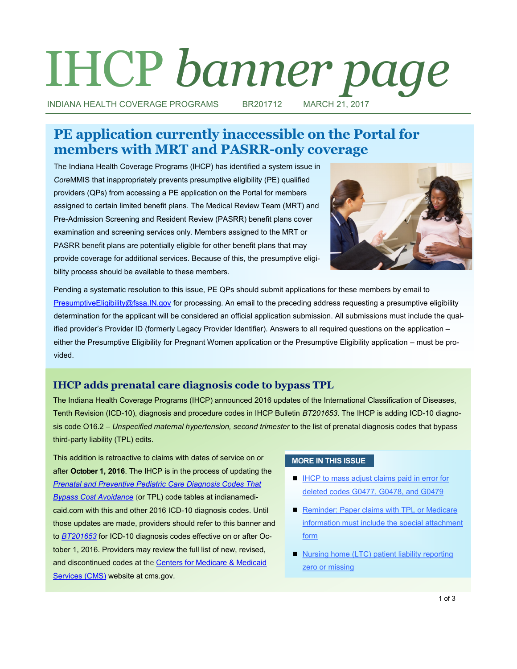# IHCP *banner page*

INDIANA HEALTH COVERAGE PROGRAMS BR201712 MARCH 21, 2017

# **PE application currently inaccessible on the Portal for members with MRT and PASRR-only coverage**

The Indiana Health Coverage Programs (IHCP) has identified a system issue in *Core*MMIS that inappropriately prevents presumptive eligibility (PE) qualified providers (QPs) from accessing a PE application on the Portal for members assigned to certain limited benefit plans. The Medical Review Team (MRT) and Pre-Admission Screening and Resident Review (PASRR) benefit plans cover examination and screening services only. Members assigned to the MRT or PASRR benefit plans are potentially eligible for other benefit plans that may provide coverage for additional services. Because of this, the presumptive eligibility process should be available to these members.



Pending a systematic resolution to this issue, PE QPs should submit applications for these members by email to [PresumptiveEligibility@fssa.IN.gov](mailto:PresumptiveEligibility@fssa.IN.gov) for processing. An email to the preceding address requesting a presumptive eligibility determination for the applicant will be considered an official application submission. All submissions must include the qualified provider's Provider ID (formerly Legacy Provider Identifier). Answers to all required questions on the application – either the Presumptive Eligibility for Pregnant Women application or the Presumptive Eligibility application – must be provided.

# **IHCP adds prenatal care diagnosis code to bypass TPL**

The Indiana Health Coverage Programs (IHCP) announced 2016 updates of the International Classification of Diseases, Tenth Revision (ICD-10), diagnosis and procedure codes in IHCP Bulletin *BT201653*. The IHCP is adding ICD-10 diagnosis code O16.2 – *Unspecified maternal hypertension, second trimester* to the list of prenatal diagnosis codes that bypass third-party liability (TPL) edits.

This addition is retroactive to claims with dates of service on or after **October 1, 2016**. The IHCP is in the process of updating the *[Prenatal and Preventive Pediatric Care Diagnosis Codes That](http://provider.indianamedicaid.com/ihcp/Publications/providerCodes/Prenatal_and_Preventive_Pediatric_Care_Codes.pdf)  [Bypass Cost Avoidance](http://provider.indianamedicaid.com/ihcp/Publications/providerCodes/Prenatal_and_Preventive_Pediatric_Care_Codes.pdf)* (or TPL) code tables at indianamedicaid.com with this and other 2016 ICD-10 diagnosis codes. Until those updates are made, providers should refer to this banner and to *[BT201653](http://provider.indianamedicaid.com/ihcp/Bulletins/BT201653.pdf)* for ICD-10 diagnosis codes effective on or after October 1, 2016. Providers may review the full list of new, revised, and discontinued codes at the [Centers for Medicare & Medicaid](https://www.cms.gov/)  [Services \(CMS\)](https://www.cms.gov/) website at cms.gov.

#### **MORE IN THIS ISSUE**

- **IHCP to mass adjust claims paid in error for** [deleted codes G0477, G0478, and G0479](#page-1-0)
- Reminder: Paper claims with TPL or Medicare [information must include the special attachment](#page-1-0)  [form](#page-1-0)
- 1 of 3 ■ Nursing home (LTC) patient liability reporting [zero or missing](#page-2-0)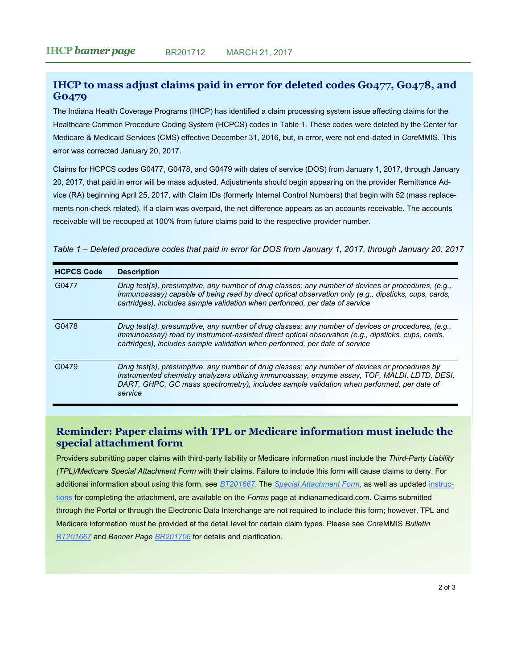# <span id="page-1-0"></span>**IHCP to mass adjust claims paid in error for deleted codes G0477, G0478, and G0479**

The Indiana Health Coverage Programs (IHCP) has identified a claim processing system issue affecting claims for the Healthcare Common Procedure Coding System (HCPCS) codes in Table 1. These codes were deleted by the Center for Medicare & Medicaid Services (CMS) effective December 31, 2016, but, in error, were not end-dated in *Core*MMIS. This error was corrected January 20, 2017.

Claims for HCPCS codes G0477, G0478, and G0479 with dates of service (DOS) from January 1, 2017, through January 20, 2017, that paid in error will be mass adjusted. Adjustments should begin appearing on the provider Remittance Advice (RA) beginning April 25, 2017, with Claim IDs (formerly Internal Control Numbers) that begin with 52 (mass replacements non-check related). If a claim was overpaid, the net difference appears as an accounts receivable. The accounts receivable will be recouped at 100% from future claims paid to the respective provider number.

*Table 1 ‒ Deleted procedure codes that paid in error for DOS from January 1, 2017, through January 20, 2017*

| <b>HCPCS Code</b> | <b>Description</b>                                                                                                                                                                                                                                                                                     |
|-------------------|--------------------------------------------------------------------------------------------------------------------------------------------------------------------------------------------------------------------------------------------------------------------------------------------------------|
| G0477             | Drug test(s), presumptive, any number of drug classes; any number of devices or procedures, (e.g.,<br>immunoassay) capable of being read by direct optical observation only (e.g., dipsticks, cups, cards,<br>cartridges), includes sample validation when performed, per date of service              |
| G0478             | Drug test(s), presumptive, any number of drug classes; any number of devices or procedures, (e.g.,<br>immunoassay) read by instrument-assisted direct optical observation (e.g., dipsticks, cups, cards,<br>cartridges), includes sample validation when performed, per date of service                |
| G0479             | Drug test(s), presumptive, any number of drug classes; any number of devices or procedures by<br>instrumented chemistry analyzers utilizing immunoassay, enzyme assay, TOF, MALDI, LDTD, DESI,<br>DART, GHPC, GC mass spectrometry), includes sample validation when performed, per date of<br>service |

### **Reminder: Paper claims with TPL or Medicare information must include the special attachment form**

Providers submitting paper claims with third-party liability or Medicare information must include the *Third-Party Liability (TPL)/Medicare Special Attachment Form* with their claims. Failure to include this form will cause claims to deny. For additional information about using this form, see *[BT201667](http://provider.indianamedicaid.com/ihcp/Bulletins/BT201667.pdf)*. The *[Special Attachment Form](http://provider.indianamedicaid.com/media/172588/ihcp%20tpl%20special%20attachment%20form.pdf)*, as well as updated [instruc](http://provider.indianamedicaid.com/media/172591/ihcp%20tpl%20special%20attachment%20form%20instructions.pdf)[tions](http://provider.indianamedicaid.com/media/172591/ihcp%20tpl%20special%20attachment%20form%20instructions.pdf) for completing the attachment, are available on the *Forms* page at indianamedicaid.com. Claims submitted through the Portal or through the Electronic Data Interchange are not required to include this form; however, TPL and Medicare information must be provided at the detail level for certain claim types. Please see *Core*MMIS *Bulletin [BT201667](http://provider.indianamedicaid.com/ihcp/Bulletins/BT201667.pdf)* and *Banner Page [BR201706](http://provider.indianamedicaid.com/ihcp/Banners/BR201706.pdf)* for details and clarification.